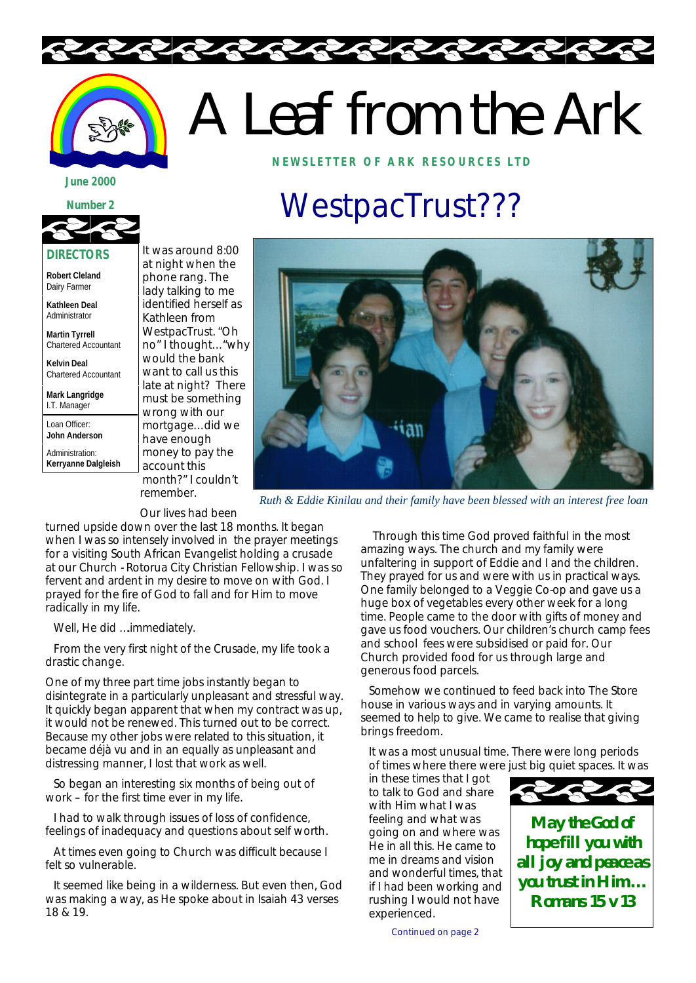

# A Leaf from the Ark **NEWSLETTER OF ARK RE SOURCES LTD**

#### **June 2000 June 2000**



#### **DIRECTORS**

**Robert Cleland** Dairy Farmer

**Kathleen Deal** Administrator

**Martin Tyrrell** Chartered Accountant

**Kelvin Deal** Chartered Accountant

**Mark Langridge** I.T. Manager

Loan Officer: **John Anderson**

Administration: **Kerryanne Dalgleish**

It was around 8:00 at night when the phone rang. The lady talking to me identified herself as Kathleen from WestpacTrust. "Oh no" I thought… "why would the bank want to call us this late at night? There must be something wrong with our mortgage… did we have enough money to pay the account this month?" I couldn't remember.

## WestpacTrust???



*Ruth & Eddie Kinilau and their family have been blessed with an interest free loan*

Our lives had been

turned upside down over the last 18 months. It began when I was so intensely involved in the prayer meetings for a visiting South African Evangelist holding a crusade at our Church - Rotorua City Christian Fellowship. I was so fervent and ardent in my desire to move on with God. I prayed for the fire of God to fall and for Him to move radically in my life.

Well, He did ….immediately.

From the very first night of the Crusade, my life took a drastic change.

One of my three part time jobs instantly began to disintegrate in a particularly unpleasant and stressful way. It quickly began apparent that when my contract was up, it would not be renewed. This turned out to be correct. Because my other jobs were related to this situation, it became déjà vu and in an equally as unpleasant and distressing manner, I lost that work as well.

So began an interesting six months of being out of work – for the first time ever in my life.

I had to walk through issues of loss of confidence, feelings of inadequacy and questions about self worth.

At times even going to Church was difficult because I felt so vulnerable.

It seemed like being in a wilderness. But even then, God was making a way, as He spoke about in Isaiah 43 verses 18 & 19.

Through this time God proved faithful in the most amazing ways. The church and my family were unfaltering in support of Eddie and I and the children. They prayed for us and were with us in practical ways. One family belonged to a Veggie Co-op and gave us a huge box of vegetables every other week for a long time. People came to the door with gifts of money and gave us food vouchers. Our children's church camp fees and school fees were subsidised or paid for. Our Church provided food for us through large and generous food parcels.

Somehow we continued to feed back into The Store house in various ways and in varying amounts. It seemed to help to give. We came to realise that giving brings freedom.

It was a most unusual time. There were long periods of times where there were just big quiet spaces. It was

in these times that I got to talk to God and share with Him what I was feeling and what was going on and where was He in all this. He came to me in dreams and vision and wonderful times, that if I had been working and rushing I would not have experienced.



**May the God of hope fill you with all joy and peace as you trust in Him … Romans 15 v 13**